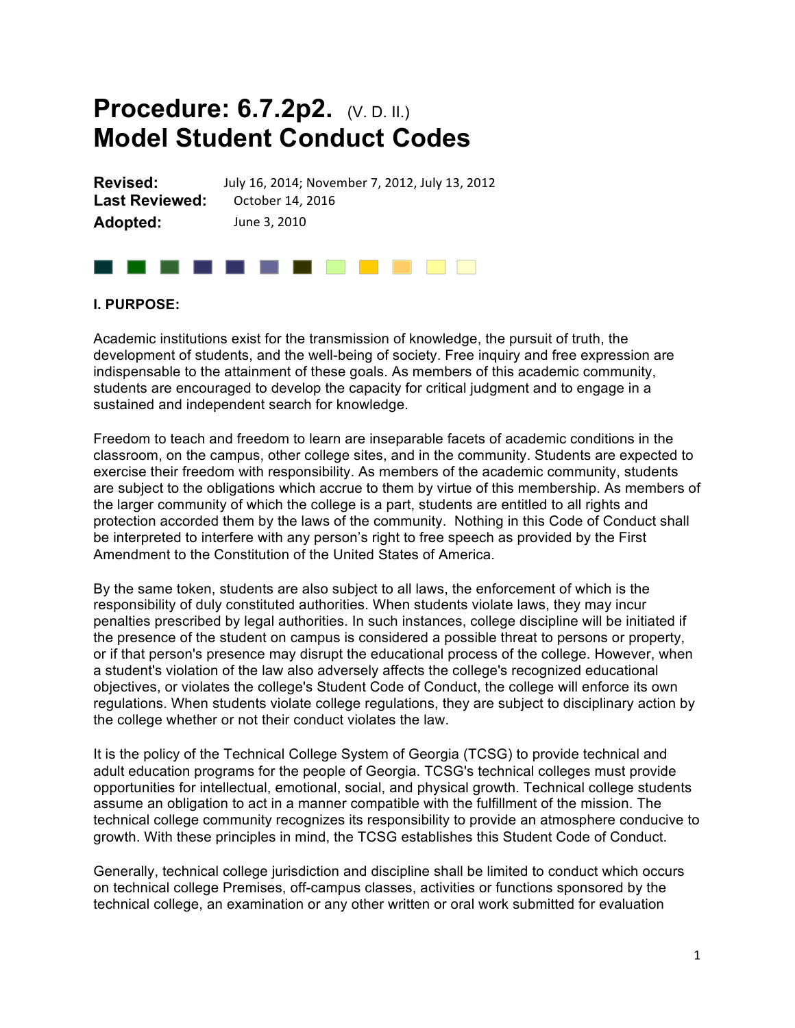# **Procedure: 6.7.2p2.** (V. D. II.) **Model Student Conduct Codes**

**Revised:** July 16, 2014; November 7, 2012, July 13, 2012 Last Reviewed: October 14, 2016 **Adopted:** June 3, 2010 

# . . . . . . . . . **. .** . .

#### **I. PURPOSE:**

Academic institutions exist for the transmission of knowledge, the pursuit of truth, the development of students, and the well-being of society. Free inquiry and free expression are indispensable to the attainment of these goals. As members of this academic community, students are encouraged to develop the capacity for critical judgment and to engage in a sustained and independent search for knowledge.

Freedom to teach and freedom to learn are inseparable facets of academic conditions in the classroom, on the campus, other college sites, and in the community. Students are expected to exercise their freedom with responsibility. As members of the academic community, students are subject to the obligations which accrue to them by virtue of this membership. As members of the larger community of which the college is a part, students are entitled to all rights and protection accorded them by the laws of the community. Nothing in this Code of Conduct shall be interpreted to interfere with any person's right to free speech as provided by the First Amendment to the Constitution of the United States of America.

By the same token, students are also subject to all laws, the enforcement of which is the responsibility of duly constituted authorities. When students violate laws, they may incur penalties prescribed by legal authorities. In such instances, college discipline will be initiated if the presence of the student on campus is considered a possible threat to persons or property, or if that person's presence may disrupt the educational process of the college. However, when a student's violation of the law also adversely affects the college's recognized educational objectives, or violates the college's Student Code of Conduct, the college will enforce its own regulations. When students violate college regulations, they are subject to disciplinary action by the college whether or not their conduct violates the law.

It is the policy of the Technical College System of Georgia (TCSG) to provide technical and adult education programs for the people of Georgia. TCSG's technical colleges must provide opportunities for intellectual, emotional, social, and physical growth. Technical college students assume an obligation to act in a manner compatible with the fulfillment of the mission. The technical college community recognizes its responsibility to provide an atmosphere conducive to growth. With these principles in mind, the TCSG establishes this Student Code of Conduct.

Generally, technical college jurisdiction and discipline shall be limited to conduct which occurs on technical college Premises, off-campus classes, activities or functions sponsored by the technical college, an examination or any other written or oral work submitted for evaluation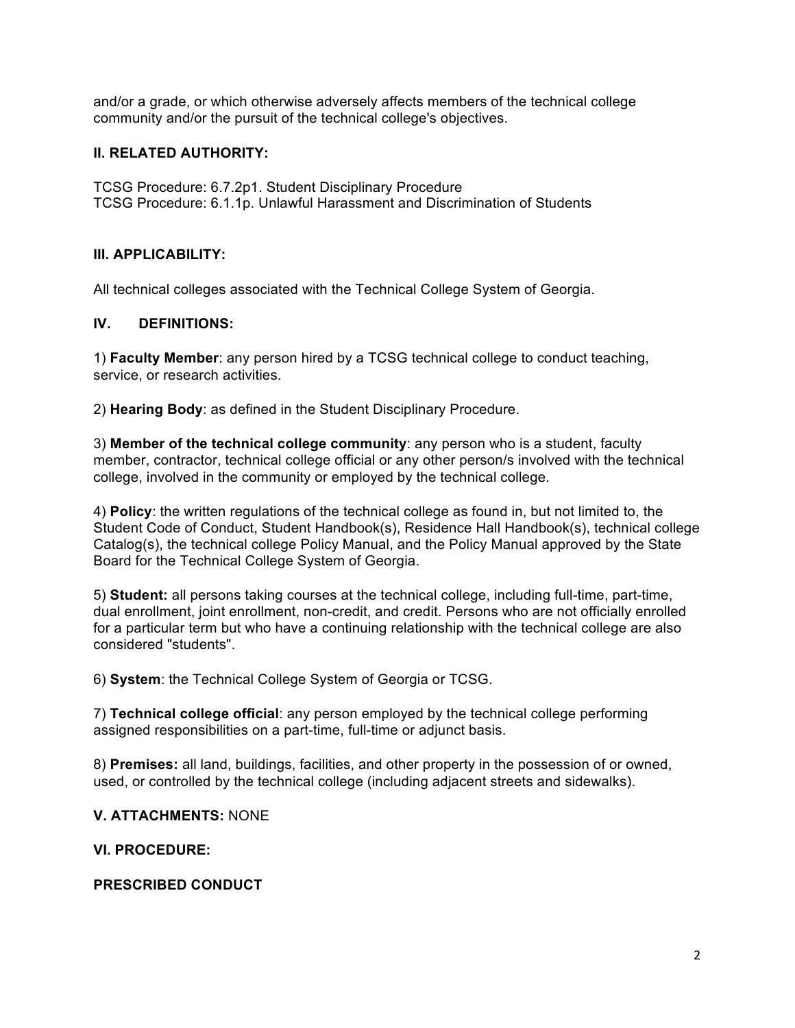and/or a grade, or which otherwise adversely affects members of the technical college community and/or the pursuit of the technical college's objectives.

### **II. RELATED AUTHORITY:**

TCSG Procedure: 6.7.2p1. Student Disciplinary Procedure TCSG Procedure: 6.1.1p. Unlawful Harassment and Discrimination of Students

## **III. APPLICABILITY:**

All technical colleges associated with the Technical College System of Georgia.

#### **IV. DEFINITIONS:**

1) **Faculty Member**: any person hired by a TCSG technical college to conduct teaching, service, or research activities.

2) **Hearing Body**: as defined in the Student Disciplinary Procedure.

3) **Member of the technical college community**: any person who is a student, faculty member, contractor, technical college official or any other person/s involved with the technical college, involved in the community or employed by the technical college.

4) **Policy**: the written regulations of the technical college as found in, but not limited to, the Student Code of Conduct, Student Handbook(s), Residence Hall Handbook(s), technical college Catalog(s), the technical college Policy Manual, and the Policy Manual approved by the State Board for the Technical College System of Georgia.

5) **Student:** all persons taking courses at the technical college, including full-time, part-time, dual enrollment, joint enrollment, non-credit, and credit. Persons who are not officially enrolled for a particular term but who have a continuing relationship with the technical college are also considered "students".

6) **System**: the Technical College System of Georgia or TCSG.

7) **Technical college official**: any person employed by the technical college performing assigned responsibilities on a part-time, full-time or adjunct basis.

8) **Premises:** all land, buildings, facilities, and other property in the possession of or owned, used, or controlled by the technical college (including adjacent streets and sidewalks).

#### **V. ATTACHMENTS:** NONE

#### **VI. PROCEDURE:**

#### **PRESCRIBED CONDUCT**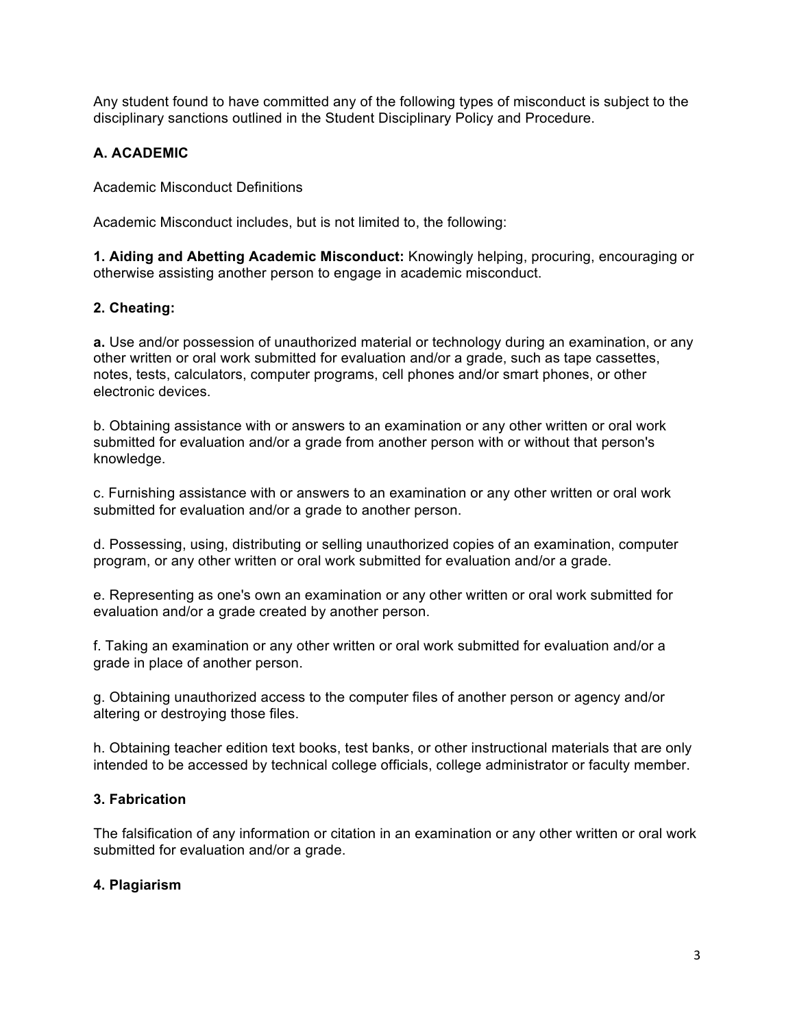Any student found to have committed any of the following types of misconduct is subject to the disciplinary sanctions outlined in the Student Disciplinary Policy and Procedure.

## **A. ACADEMIC**

Academic Misconduct Definitions

Academic Misconduct includes, but is not limited to, the following:

**1. Aiding and Abetting Academic Misconduct:** Knowingly helping, procuring, encouraging or otherwise assisting another person to engage in academic misconduct.

## **2. Cheating:**

**a.** Use and/or possession of unauthorized material or technology during an examination, or any other written or oral work submitted for evaluation and/or a grade, such as tape cassettes, notes, tests, calculators, computer programs, cell phones and/or smart phones, or other electronic devices.

b. Obtaining assistance with or answers to an examination or any other written or oral work submitted for evaluation and/or a grade from another person with or without that person's knowledge.

c. Furnishing assistance with or answers to an examination or any other written or oral work submitted for evaluation and/or a grade to another person.

d. Possessing, using, distributing or selling unauthorized copies of an examination, computer program, or any other written or oral work submitted for evaluation and/or a grade.

e. Representing as one's own an examination or any other written or oral work submitted for evaluation and/or a grade created by another person.

f. Taking an examination or any other written or oral work submitted for evaluation and/or a grade in place of another person.

g. Obtaining unauthorized access to the computer files of another person or agency and/or altering or destroying those files.

h. Obtaining teacher edition text books, test banks, or other instructional materials that are only intended to be accessed by technical college officials, college administrator or faculty member.

## **3. Fabrication**

The falsification of any information or citation in an examination or any other written or oral work submitted for evaluation and/or a grade.

#### **4. Plagiarism**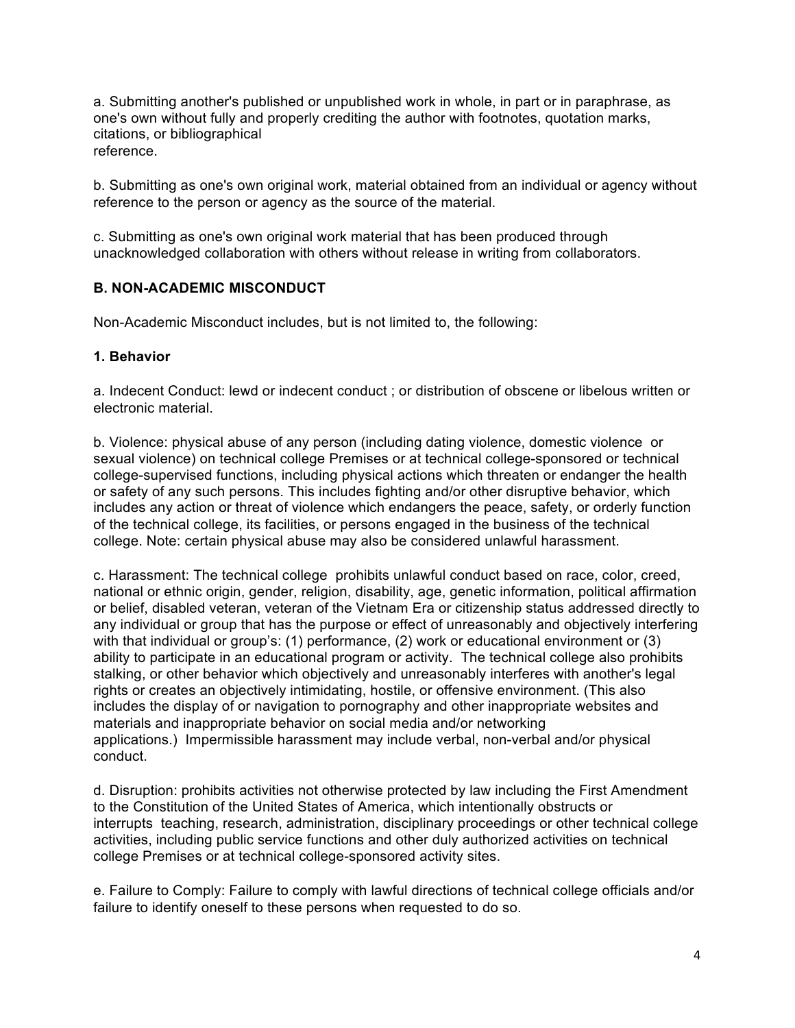a. Submitting another's published or unpublished work in whole, in part or in paraphrase, as one's own without fully and properly crediting the author with footnotes, quotation marks, citations, or bibliographical reference.

b. Submitting as one's own original work, material obtained from an individual or agency without reference to the person or agency as the source of the material.

c. Submitting as one's own original work material that has been produced through unacknowledged collaboration with others without release in writing from collaborators.

## **B. NON-ACADEMIC MISCONDUCT**

Non-Academic Misconduct includes, but is not limited to, the following:

#### **1. Behavior**

a. Indecent Conduct: lewd or indecent conduct ; or distribution of obscene or libelous written or electronic material.

b. Violence: physical abuse of any person (including dating violence, domestic violence or sexual violence) on technical college Premises or at technical college-sponsored or technical college-supervised functions, including physical actions which threaten or endanger the health or safety of any such persons. This includes fighting and/or other disruptive behavior, which includes any action or threat of violence which endangers the peace, safety, or orderly function of the technical college, its facilities, or persons engaged in the business of the technical college. Note: certain physical abuse may also be considered unlawful harassment.

c. Harassment: The technical college prohibits unlawful conduct based on race, color, creed, national or ethnic origin, gender, religion, disability, age, genetic information, political affirmation or belief, disabled veteran, veteran of the Vietnam Era or citizenship status addressed directly to any individual or group that has the purpose or effect of unreasonably and objectively interfering with that individual or group's: (1) performance, (2) work or educational environment or (3) ability to participate in an educational program or activity. The technical college also prohibits stalking, or other behavior which objectively and unreasonably interferes with another's legal rights or creates an objectively intimidating, hostile, or offensive environment. (This also includes the display of or navigation to pornography and other inappropriate websites and materials and inappropriate behavior on social media and/or networking applications.) Impermissible harassment may include verbal, non-verbal and/or physical conduct.

d. Disruption: prohibits activities not otherwise protected by law including the First Amendment to the Constitution of the United States of America, which intentionally obstructs or interrupts teaching, research, administration, disciplinary proceedings or other technical college activities, including public service functions and other duly authorized activities on technical college Premises or at technical college-sponsored activity sites.

e. Failure to Comply: Failure to comply with lawful directions of technical college officials and/or failure to identify oneself to these persons when requested to do so.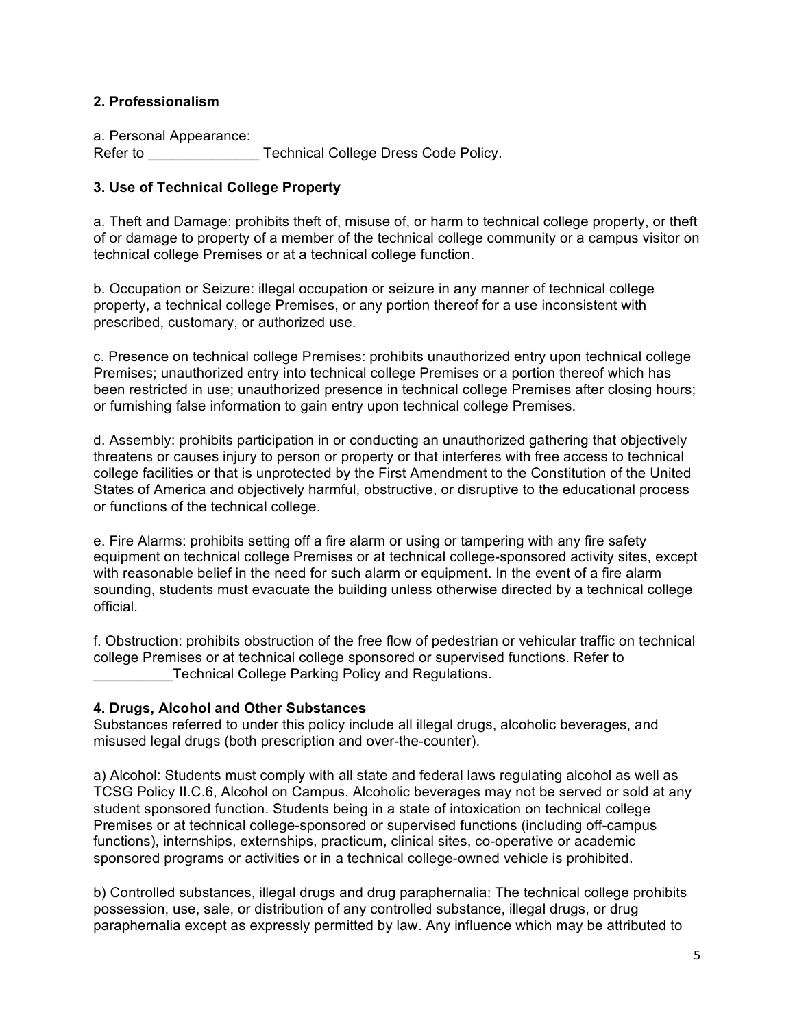#### **2. Professionalism**

a. Personal Appearance: Refer to **Example 2** Technical College Dress Code Policy.

#### **3. Use of Technical College Property**

a. Theft and Damage: prohibits theft of, misuse of, or harm to technical college property, or theft of or damage to property of a member of the technical college community or a campus visitor on technical college Premises or at a technical college function.

b. Occupation or Seizure: illegal occupation or seizure in any manner of technical college property, a technical college Premises, or any portion thereof for a use inconsistent with prescribed, customary, or authorized use.

c. Presence on technical college Premises: prohibits unauthorized entry upon technical college Premises; unauthorized entry into technical college Premises or a portion thereof which has been restricted in use; unauthorized presence in technical college Premises after closing hours; or furnishing false information to gain entry upon technical college Premises.

d. Assembly: prohibits participation in or conducting an unauthorized gathering that objectively threatens or causes injury to person or property or that interferes with free access to technical college facilities or that is unprotected by the First Amendment to the Constitution of the United States of America and objectively harmful, obstructive, or disruptive to the educational process or functions of the technical college.

e. Fire Alarms: prohibits setting off a fire alarm or using or tampering with any fire safety equipment on technical college Premises or at technical college-sponsored activity sites, except with reasonable belief in the need for such alarm or equipment. In the event of a fire alarm sounding, students must evacuate the building unless otherwise directed by a technical college official.

f. Obstruction: prohibits obstruction of the free flow of pedestrian or vehicular traffic on technical college Premises or at technical college sponsored or supervised functions. Refer to Technical College Parking Policy and Regulations.

#### **4. Drugs, Alcohol and Other Substances**

Substances referred to under this policy include all illegal drugs, alcoholic beverages, and misused legal drugs (both prescription and over-the-counter).

a) Alcohol: Students must comply with all state and federal laws regulating alcohol as well as TCSG Policy II.C.6, Alcohol on Campus. Alcoholic beverages may not be served or sold at any student sponsored function. Students being in a state of intoxication on technical college Premises or at technical college-sponsored or supervised functions (including off-campus functions), internships, externships, practicum, clinical sites, co-operative or academic sponsored programs or activities or in a technical college-owned vehicle is prohibited.

b) Controlled substances, illegal drugs and drug paraphernalia: The technical college prohibits possession, use, sale, or distribution of any controlled substance, illegal drugs, or drug paraphernalia except as expressly permitted by law. Any influence which may be attributed to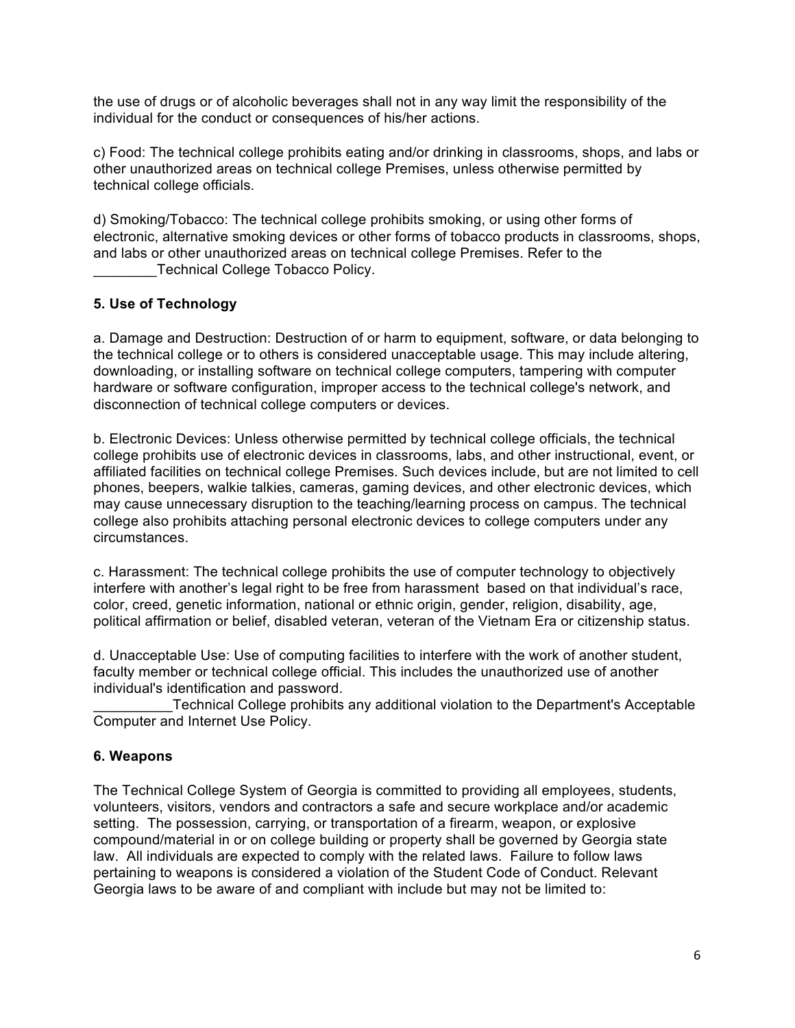the use of drugs or of alcoholic beverages shall not in any way limit the responsibility of the individual for the conduct or consequences of his/her actions.

c) Food: The technical college prohibits eating and/or drinking in classrooms, shops, and labs or other unauthorized areas on technical college Premises, unless otherwise permitted by technical college officials.

d) Smoking/Tobacco: The technical college prohibits smoking, or using other forms of electronic, alternative smoking devices or other forms of tobacco products in classrooms, shops, and labs or other unauthorized areas on technical college Premises. Refer to the Technical College Tobacco Policy.

## **5. Use of Technology**

a. Damage and Destruction: Destruction of or harm to equipment, software, or data belonging to the technical college or to others is considered unacceptable usage. This may include altering, downloading, or installing software on technical college computers, tampering with computer hardware or software configuration, improper access to the technical college's network, and disconnection of technical college computers or devices.

b. Electronic Devices: Unless otherwise permitted by technical college officials, the technical college prohibits use of electronic devices in classrooms, labs, and other instructional, event, or affiliated facilities on technical college Premises. Such devices include, but are not limited to cell phones, beepers, walkie talkies, cameras, gaming devices, and other electronic devices, which may cause unnecessary disruption to the teaching/learning process on campus. The technical college also prohibits attaching personal electronic devices to college computers under any circumstances.

c. Harassment: The technical college prohibits the use of computer technology to objectively interfere with another's legal right to be free from harassment based on that individual's race, color, creed, genetic information, national or ethnic origin, gender, religion, disability, age, political affirmation or belief, disabled veteran, veteran of the Vietnam Era or citizenship status.

d. Unacceptable Use: Use of computing facilities to interfere with the work of another student, faculty member or technical college official. This includes the unauthorized use of another individual's identification and password.

\_\_\_\_\_\_\_\_\_\_Technical College prohibits any additional violation to the Department's Acceptable Computer and Internet Use Policy.

#### **6. Weapons**

The Technical College System of Georgia is committed to providing all employees, students, volunteers, visitors, vendors and contractors a safe and secure workplace and/or academic setting. The possession, carrying, or transportation of a firearm, weapon, or explosive compound/material in or on college building or property shall be governed by Georgia state law. All individuals are expected to comply with the related laws. Failure to follow laws pertaining to weapons is considered a violation of the Student Code of Conduct. Relevant Georgia laws to be aware of and compliant with include but may not be limited to: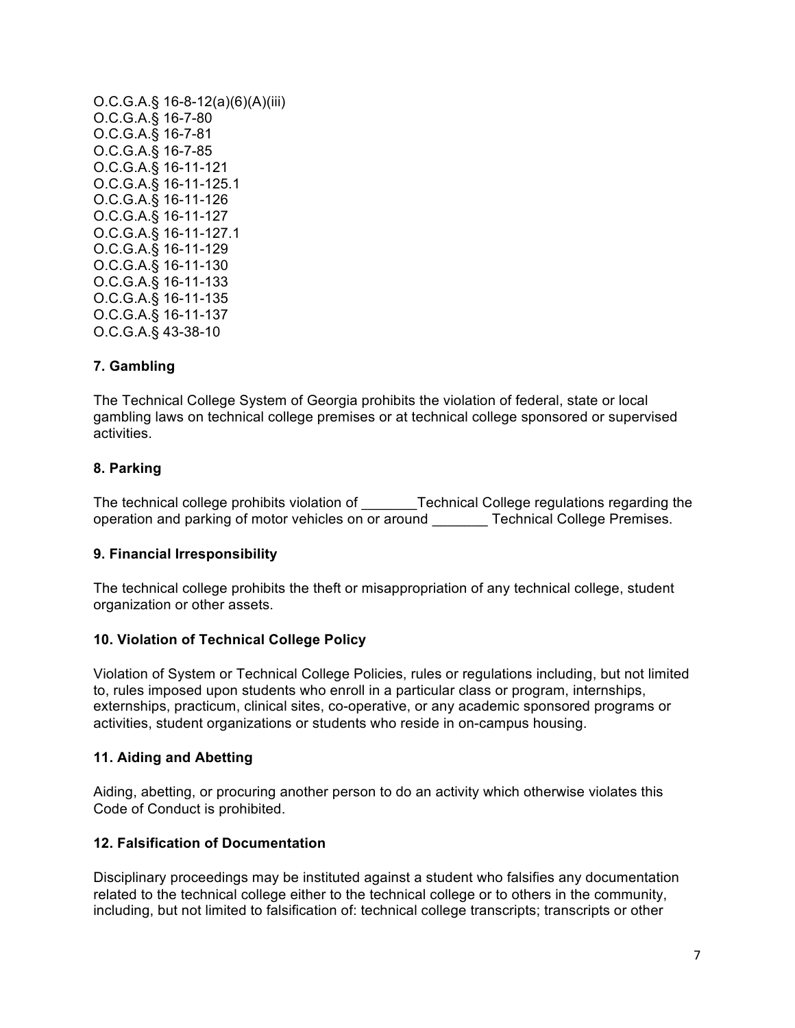O.C.G.A.§ 16-8-12(a)(6)(A)(iii) O.C.G.A.§ 16-7-80 O.C.G.A.§ 16-7-81 O.C.G.A.§ 16-7-85 O.C.G.A.§ 16-11-121 O.C.G.A.§ 16-11-125.1 O.C.G.A.§ 16-11-126 O.C.G.A.§ 16-11-127 O.C.G.A.§ 16-11-127.1 O.C.G.A.§ 16-11-129 O.C.G.A.§ 16-11-130 O.C.G.A.§ 16-11-133 O.C.G.A.§ 16-11-135 O.C.G.A.§ 16-11-137 O.C.G.A.§ 43-38-10

#### **7. Gambling**

The Technical College System of Georgia prohibits the violation of federal, state or local gambling laws on technical college premises or at technical college sponsored or supervised activities.

#### **8. Parking**

The technical college prohibits violation of Technical College regulations regarding the operation and parking of motor vehicles on or around Technical College Premises.

#### **9. Financial Irresponsibility**

The technical college prohibits the theft or misappropriation of any technical college, student organization or other assets.

#### **10. Violation of Technical College Policy**

Violation of System or Technical College Policies, rules or regulations including, but not limited to, rules imposed upon students who enroll in a particular class or program, internships, externships, practicum, clinical sites, co-operative, or any academic sponsored programs or activities, student organizations or students who reside in on-campus housing.

#### **11. Aiding and Abetting**

Aiding, abetting, or procuring another person to do an activity which otherwise violates this Code of Conduct is prohibited.

#### **12. Falsification of Documentation**

Disciplinary proceedings may be instituted against a student who falsifies any documentation related to the technical college either to the technical college or to others in the community, including, but not limited to falsification of: technical college transcripts; transcripts or other